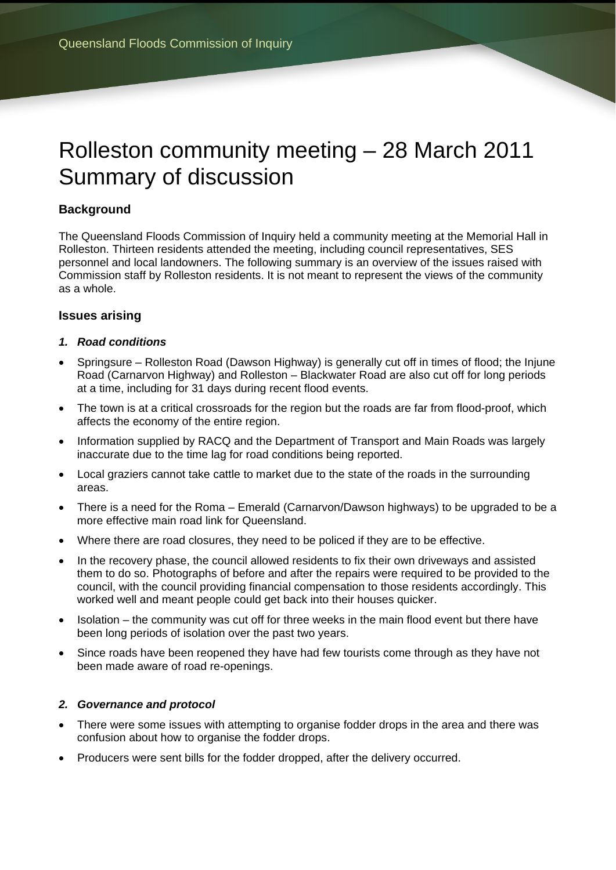# Rolleston community meeting – 28 March 2011 Summary of discussion

# **Background**

The Queensland Floods Commission of Inquiry held a community meeting at the Memorial Hall in Rolleston. Thirteen residents attended the meeting, including council representatives, SES personnel and local landowners. The following summary is an overview of the issues raised with Commission staff by Rolleston residents. It is not meant to represent the views of the community as a whole.

## **Issues arising**

#### *1. Road conditions*

- Springsure Rolleston Road (Dawson Highway) is generally cut off in times of flood; the Injune Road (Carnarvon Highway) and Rolleston – Blackwater Road are also cut off for long periods at a time, including for 31 days during recent flood events.
- The town is at a critical crossroads for the region but the roads are far from flood-proof, which affects the economy of the entire region.
- Information supplied by RACQ and the Department of Transport and Main Roads was largely inaccurate due to the time lag for road conditions being reported.
- Local graziers cannot take cattle to market due to the state of the roads in the surrounding areas.
- There is a need for the Roma Emerald (Carnarvon/Dawson highways) to be upgraded to be a more effective main road link for Queensland.
- Where there are road closures, they need to be policed if they are to be effective.
- In the recovery phase, the council allowed residents to fix their own driveways and assisted them to do so. Photographs of before and after the repairs were required to be provided to the council, with the council providing financial compensation to those residents accordingly. This worked well and meant people could get back into their houses quicker.
- Isolation the community was cut off for three weeks in the main flood event but there have been long periods of isolation over the past two years.
- Since roads have been reopened they have had few tourists come through as they have not been made aware of road re-openings.

#### *2. Governance and protocol*

- There were some issues with attempting to organise fodder drops in the area and there was confusion about how to organise the fodder drops.
- Producers were sent bills for the fodder dropped, after the delivery occurred.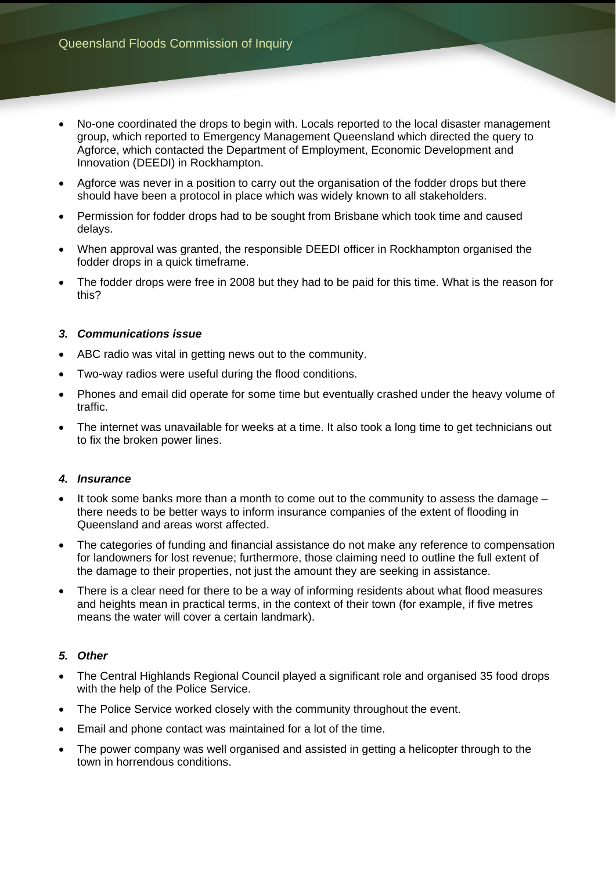- No-one coordinated the drops to begin with. Locals reported to the local disaster management group, which reported to Emergency Management Queensland which directed the query to Agforce, which contacted the Department of Employment, Economic Development and Innovation (DEEDI) in Rockhampton.
- Agforce was never in a position to carry out the organisation of the fodder drops but there should have been a protocol in place which was widely known to all stakeholders.
- Permission for fodder drops had to be sought from Brisbane which took time and caused delays.
- When approval was granted, the responsible DEEDI officer in Rockhampton organised the fodder drops in a quick timeframe.
- The fodder drops were free in 2008 but they had to be paid for this time. What is the reason for this?

#### *3. Communications issue*

- ABC radio was vital in getting news out to the community.
- Two-way radios were useful during the flood conditions.
- Phones and email did operate for some time but eventually crashed under the heavy volume of traffic.
- The internet was unavailable for weeks at a time. It also took a long time to get technicians out to fix the broken power lines.

#### *4. Insurance*

- $\bullet$  It took some banks more than a month to come out to the community to assess the damage there needs to be better ways to inform insurance companies of the extent of flooding in Queensland and areas worst affected.
- The categories of funding and financial assistance do not make any reference to compensation for landowners for lost revenue; furthermore, those claiming need to outline the full extent of the damage to their properties, not just the amount they are seeking in assistance.
- There is a clear need for there to be a way of informing residents about what flood measures and heights mean in practical terms, in the context of their town (for example, if five metres means the water will cover a certain landmark).

### *5. Other*

- The Central Highlands Regional Council played a significant role and organised 35 food drops with the help of the Police Service.
- The Police Service worked closely with the community throughout the event.
- Email and phone contact was maintained for a lot of the time.
- The power company was well organised and assisted in getting a helicopter through to the town in horrendous conditions.